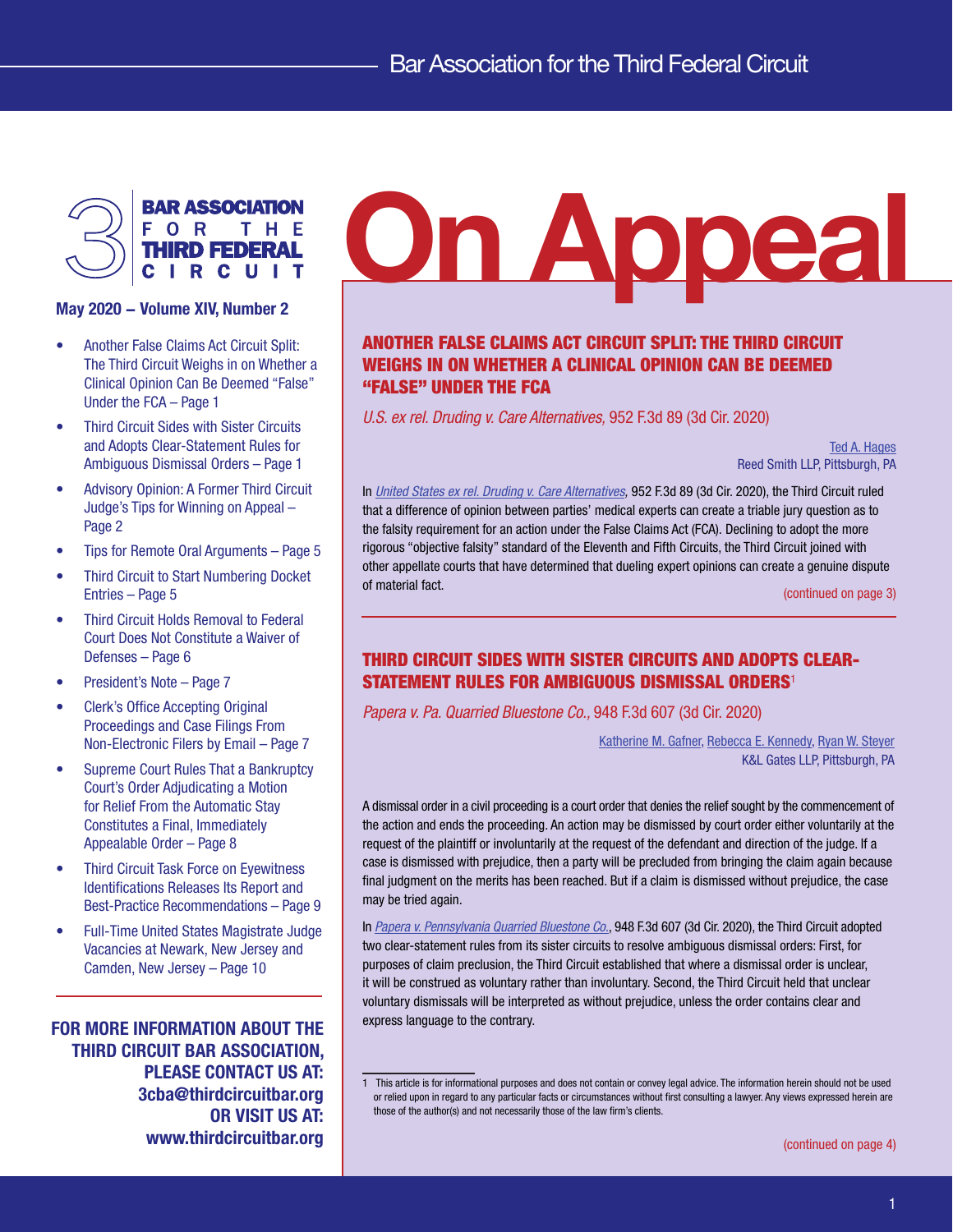

- Another False Claims Act Circuit Split: The Third Circuit Weighs in on Whether a Clinical Opinion Can Be Deemed "False" Under the FCA – Page 1
- Third Circuit Sides with Sister Circuits and Adopts Clear-Statement Rules for Ambiguous Dismissal Orders – Page 1
- [Advisory Opinion: A Former Third Circuit](#page-1-0)  [Judge's Tips for Winning on Appeal –](#page-1-0)  [Page 2](#page-1-0)
- [Tips for Remote Oral Arguments Page 5](#page-4-0)
- [Third Circuit to Start Numbering Docket](#page-4-0)  [Entries – Page 5](#page-4-0)
- [Third Circuit Holds Removal to Federal](#page-5-0)  [Court Does Not Constitute a Waiver of](#page-5-0)  [Defenses – Page 6](#page-5-0)
- [President's Note Page 7](#page-6-0)
- [Clerk's Office Accepting Original](#page-6-0)  [Proceedings and Case Filings From](#page-6-0)  [Non-Electronic Filers by Email – Page 7](#page-6-0)
- [Supreme Court Rules That a Bankruptcy](#page-7-0)  [Court's Order Adjudicating a Motion](#page-7-0)  [for Relief From the Automatic Stay](#page-7-0)  [Constitutes a Final, Immediately](#page-7-0)  [Appealable Order – Page 8](#page-7-0)
- [Third Circuit Task Force on Eyewitness](#page-8-0)  [Identifications Releases Its Report and](#page-8-0)  [Best-Practice Recommendations – Page 9](#page-8-0)
- [Full-Time United States Magistrate Judge](#page-9-0)  [Vacancies at Newark, New Jersey and](#page-9-0)  [Camden, New Jersey – Page 10](#page-9-0)

FOR MORE INFORMATION ABOUT THE THIRD CIRCUIT BAR ASSOCIATION, PLEASE CONTACT US AT: 3cba@thirdcircuitbar.org OR VISIT US AT: www.thirdcircuitbar.org

# $\bigotimes_{\text{Max 2020 - Volume XIV, Number 2}}^{\text{BAR Association}}$

# ANOTHER FALSE CLAIMS ACT CIRCUIT SPLIT: THE THIRD CIRCUIT WEIGHS IN ON WHETHER A CLINICAL OPINION CAN BE DEEMED "FALSE" UNDER THE FCA

*U.S. ex rel. Druding v. Care Alternatives,* 952 F.3d 89 (3d Cir. 2020)

[Ted A. Hages](https://www.reedsmith.com/en/professionals/h/hages-ted) Reed Smith LLP, Pittsburgh, PA

In *[United States ex rel. Druding v. Care Alternatives,](http://www2.ca3.uscourts.gov/opinarch/183298p.pdf)* 952 F.3d 89 (3d Cir. 2020), the Third Circuit ruled that a difference of opinion between parties' medical experts can create a triable jury question as to the falsity requirement for an action under the False Claims Act (FCA). Declining to adopt the more rigorous "objective falsity" standard of the Eleventh and Fifth Circuits, the Third Circuit joined with other appellate courts that have determined that dueling expert opinions can create a genuine dispute of material fact. ([continued on page 3](#page-2-0))

# THIRD CIRCUIT SIDES WITH SISTER CIRCUITS AND ADOPTS CLEAR-STATEMENT RULES FOR AMBIGUOUS DISMISSAL ORDERS<sup>1</sup>

*Papera v. Pa. Quarried Bluestone Co.,* 948 F.3d 607 (3d Cir. 2020)

[Katherine M. Gafner,](http://www.klgates.com/katherine-m-gafner/?nomobile=temp) [Rebecca E. Kennedy,](http://www.klgates.com/rebecca-e-kennedy/) [Ryan W. Steyer](http://www.klgates.com/ryan-w-steyer/) K&L Gates LLP, Pittsburgh, PA

A dismissal order in a civil proceeding is a court order that denies the relief sought by the commencement of the action and ends the proceeding. An action may be dismissed by court order either voluntarily at the request of the plaintiff or involuntarily at the request of the defendant and direction of the judge. If a case is dismissed with prejudice, then a party will be precluded from bringing the claim again because final judgment on the merits has been reached. But if a claim is dismissed without prejudice, the case may be tried again.

In *[Papera v. Pennsylvania Quarried Bluestone Co.](http://www2.ca3.uscourts.gov/opinarch/183060p.pdf)*, 948 F.3d 607 (3d Cir. 2020), the Third Circuit adopted two clear-statement rules from its sister circuits to resolve ambiguous dismissal orders: First, for purposes of claim preclusion, the Third Circuit established that where a dismissal order is unclear, it will be construed as voluntary rather than involuntary. Second, the Third Circuit held that unclear voluntary dismissals will be interpreted as without prejudice, unless the order contains clear and express language to the contrary.

1

<sup>1</sup> This article is for informational purposes and does not contain or convey legal advice. The information herein should not be used or relied upon in regard to any particular facts or circumstances without first consulting a lawyer. Any views expressed herein are those of the author(s) and not necessarily those of the law firm's clients.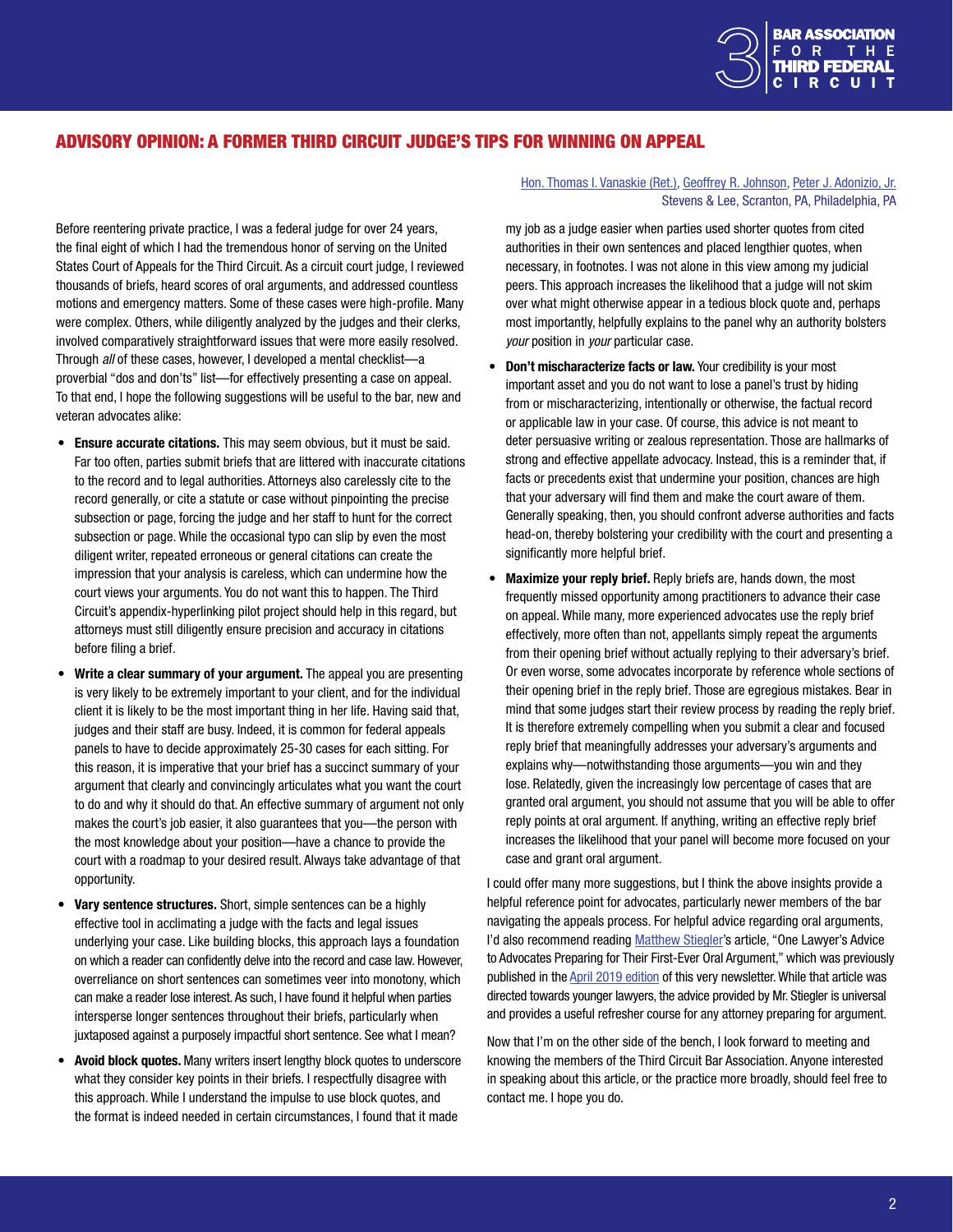

# <span id="page-1-0"></span>ADVISORY OPINION: A FORMER THIRD CIRCUIT JUDGE'S TIPS FOR WINNING ON APPEAL

Before reentering private practice, I was a federal judge for over 24 years, the final eight of which I had the tremendous honor of serving on the United States Court of Appeals for the Third Circuit. As a circuit court judge, I reviewed thousands of briefs, heard scores of oral arguments, and addressed countless motions and emergency matters. Some of these cases were high-profile. Many were complex. Others, while diligently analyzed by the judges and their clerks, involved comparatively straightforward issues that were more easily resolved. Through *all* of these cases, however, I developed a mental checklist—a proverbial "dos and don'ts" list—for effectively presenting a case on appeal. To that end, I hope the following suggestions will be useful to the bar, new and veteran advocates alike:

- Ensure accurate citations. This may seem obvious, but it must be said. Far too often, parties submit briefs that are littered with inaccurate citations to the record and to legal authorities. Attorneys also carelessly cite to the record generally, or cite a statute or case without pinpointing the precise subsection or page, forcing the judge and her staff to hunt for the correct subsection or page. While the occasional typo can slip by even the most diligent writer, repeated erroneous or general citations can create the impression that your analysis is careless, which can undermine how the court views your arguments. You do not want this to happen. The Third Circuit's appendix-hyperlinking pilot project should help in this regard, but attorneys must still diligently ensure precision and accuracy in citations before filing a brief.
- Write a clear summary of your argument. The appeal you are presenting is very likely to be extremely important to your client, and for the individual client it is likely to be the most important thing in her life. Having said that, judges and their staff are busy. Indeed, it is common for federal appeals panels to have to decide approximately 25-30 cases for each sitting. For this reason, it is imperative that your brief has a succinct summary of your argument that clearly and convincingly articulates what you want the court to do and why it should do that. An effective summary of argument not only makes the court's job easier, it also guarantees that you—the person with the most knowledge about your position—have a chance to provide the court with a roadmap to your desired result. Always take advantage of that opportunity.
- Vary sentence structures. Short, simple sentences can be a highly effective tool in acclimating a judge with the facts and legal issues underlying your case. Like building blocks, this approach lays a foundation on which a reader can confidently delve into the record and case law. However, overreliance on short sentences can sometimes veer into monotony, which can make a reader lose interest. As such, I have found it helpful when parties intersperse longer sentences throughout their briefs, particularly when juxtaposed against a purposely impactful short sentence. See what I mean?
- Avoid block quotes. Many writers insert lengthy block quotes to underscore what they consider key points in their briefs. I respectfully disagree with this approach. While I understand the impulse to use block quotes, and the format is indeed needed in certain circumstances, I found that it made

#### [Hon. Thomas I. Vanaskie \(Ret.\),](https://www.stevenslee.com/?pro=hon-thomas-i-vanaskie-ret) [Geoffrey R. Johnson,](https://www.stevenslee.com/?pro=geoffrey-r-johnson-2) [Peter J. Adonizio, Jr.](https://www.stevenslee.com/?pro=peter-j-adonizio-jr) Stevens & Lee, Scranton, PA, Philadelphia, PA

my job as a judge easier when parties used shorter quotes from cited authorities in their own sentences and placed lengthier quotes, when necessary, in footnotes. I was not alone in this view among my judicial peers. This approach increases the likelihood that a judge will not skim over what might otherwise appear in a tedious block quote and, perhaps most importantly, helpfully explains to the panel why an authority bolsters *your* position in *your* particular case.

- Don't mischaracterize facts or law. Your credibility is your most important asset and you do not want to lose a panel's trust by hiding from or mischaracterizing, intentionally or otherwise, the factual record or applicable law in your case. Of course, this advice is not meant to deter persuasive writing or zealous representation. Those are hallmarks of strong and effective appellate advocacy. Instead, this is a reminder that, if facts or precedents exist that undermine your position, chances are high that your adversary will find them and make the court aware of them. Generally speaking, then, you should confront adverse authorities and facts head-on, thereby bolstering your credibility with the court and presenting a significantly more helpful brief.
- Maximize your reply brief. Reply briefs are, hands down, the most frequently missed opportunity among practitioners to advance their case on appeal. While many, more experienced advocates use the reply brief effectively, more often than not, appellants simply repeat the arguments from their opening brief without actually replying to their adversary's brief. Or even worse, some advocates incorporate by reference whole sections of their opening brief in the reply brief. Those are egregious mistakes. Bear in mind that some judges start their review process by reading the reply brief. It is therefore extremely compelling when you submit a clear and focused reply brief that meaningfully addresses your adversary's arguments and explains why—notwithstanding those arguments—you win and they lose. Relatedly, given the increasingly low percentage of cases that are granted oral argument, you should not assume that you will be able to offer reply points at oral argument. If anything, writing an effective reply brief increases the likelihood that your panel will become more focused on your case and grant oral argument.

I could offer many more suggestions, but I think the above insights provide a helpful reference point for advocates, particularly newer members of the bar navigating the appeals process. For helpful advice regarding oral arguments, I'd also recommend reading [Matthew Stiegler'](http://www.stieglerlaw.com/attorney-profile.html)s article, "One Lawyer's Advice to Advocates Preparing for Their First-Ever Oral Argument," which was previously published in the [April 2019 edition](http://thirdcircuitbar.org/newsletters.html) of this very newsletter. While that article was directed towards younger lawyers, the advice provided by Mr. Stiegler is universal and provides a useful refresher course for any attorney preparing for argument.

Now that I'm on the other side of the bench, I look forward to meeting and knowing the members of the Third Circuit Bar Association. Anyone interested in speaking about this article, or the practice more broadly, should feel free to contact me. I hope you do.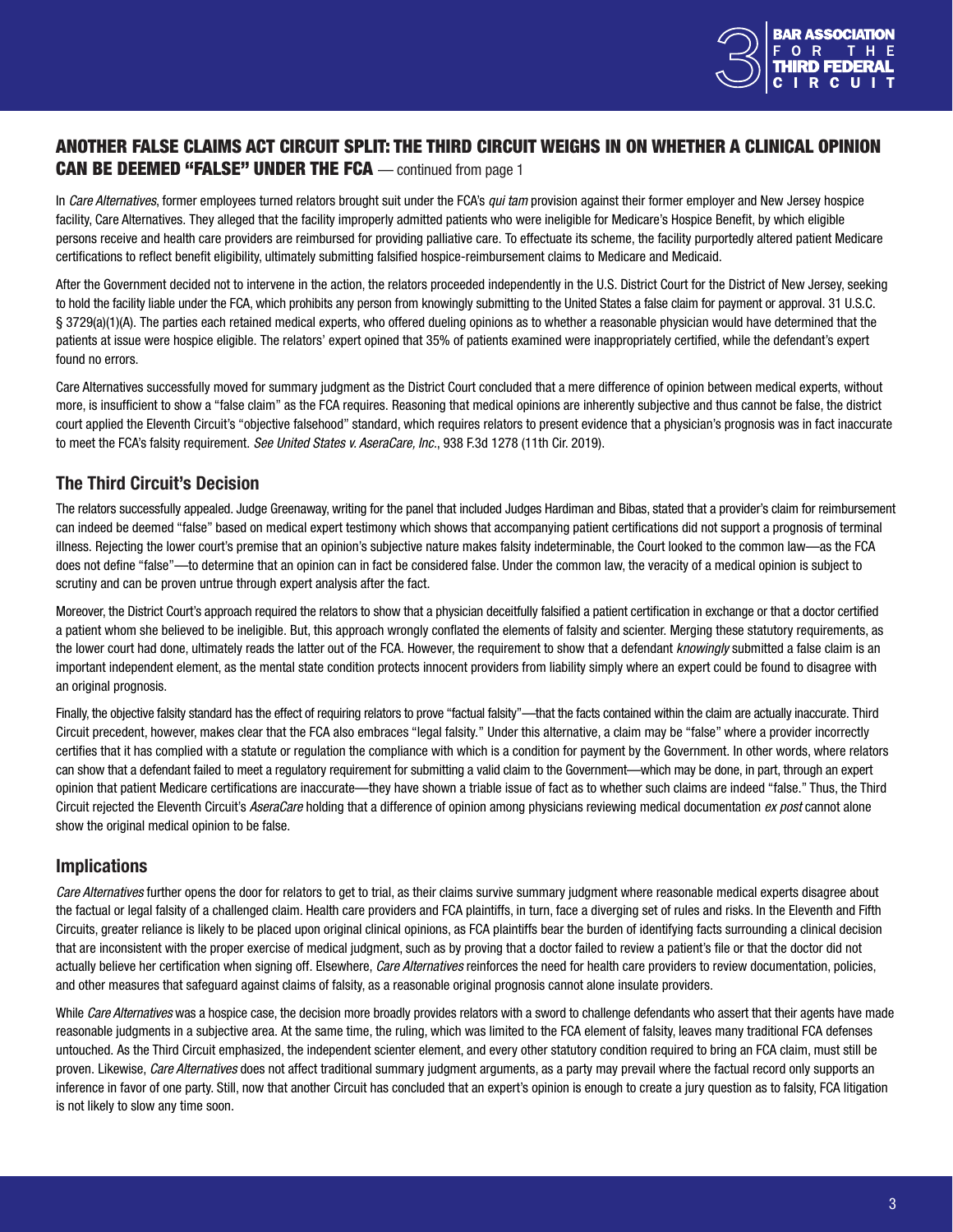

# <span id="page-2-0"></span>ANOTHER FALSE CLAIMS ACT CIRCUIT SPLIT: THE THIRD CIRCUIT WEIGHS IN ON WHETHER A CLINICAL OPINION **CAN BE DEEMED "FALSE" UNDER THE FCA** — continued from page 1

In *Care Alternatives*, former employees turned relators brought suit under the FCA's *qui tam* provision against their former employer and New Jersey hospice facility, Care Alternatives. They alleged that the facility improperly admitted patients who were ineligible for Medicare's Hospice Benefit, by which eligible persons receive and health care providers are reimbursed for providing palliative care. To effectuate its scheme, the facility purportedly altered patient Medicare certifications to reflect benefit eligibility, ultimately submitting falsified hospice-reimbursement claims to Medicare and Medicaid.

After the Government decided not to intervene in the action, the relators proceeded independently in the U.S. District Court for the District of New Jersey, seeking to hold the facility liable under the FCA, which prohibits any person from knowingly submitting to the United States a false claim for payment or approval. 31 U.S.C. § 3729(a)(1)(A). The parties each retained medical experts, who offered dueling opinions as to whether a reasonable physician would have determined that the patients at issue were hospice eligible. The relators' expert opined that 35% of patients examined were inappropriately certified, while the defendant's expert found no errors.

Care Alternatives successfully moved for summary judgment as the District Court concluded that a mere difference of opinion between medical experts, without more, is insufficient to show a "false claim" as the FCA requires. Reasoning that medical opinions are inherently subjective and thus cannot be false, the district court applied the Eleventh Circuit's "objective falsehood" standard, which requires relators to present evidence that a physician's prognosis was in fact inaccurate to meet the FCA's falsity requirement. *See United States v. AseraCare, Inc.*, 938 F.3d 1278 (11th Cir. 2019).

#### The Third Circuit's Decision

The relators successfully appealed. Judge Greenaway, writing for the panel that included Judges Hardiman and Bibas, stated that a provider's claim for reimbursement can indeed be deemed "false" based on medical expert testimony which shows that accompanying patient certifications did not support a prognosis of terminal illness. Rejecting the lower court's premise that an opinion's subjective nature makes falsity indeterminable, the Court looked to the common law—as the FCA does not define "false"—to determine that an opinion can in fact be considered false. Under the common law, the veracity of a medical opinion is subject to scrutiny and can be proven untrue through expert analysis after the fact.

Moreover, the District Court's approach required the relators to show that a physician deceitfully falsified a patient certification in exchange or that a doctor certified a patient whom she believed to be ineligible. But, this approach wrongly conflated the elements of falsity and scienter. Merging these statutory requirements, as the lower court had done, ultimately reads the latter out of the FCA. However, the requirement to show that a defendant *knowingly* submitted a false claim is an important independent element, as the mental state condition protects innocent providers from liability simply where an expert could be found to disagree with an original prognosis.

Finally, the objective falsity standard has the effect of requiring relators to prove "factual falsity"—that the facts contained within the claim are actually inaccurate. Third Circuit precedent, however, makes clear that the FCA also embraces "legal falsity." Under this alternative, a claim may be "false" where a provider incorrectly certifies that it has complied with a statute or regulation the compliance with which is a condition for payment by the Government. In other words, where relators can show that a defendant failed to meet a regulatory requirement for submitting a valid claim to the Government—which may be done, in part, through an expert opinion that patient Medicare certifications are inaccurate—they have shown a triable issue of fact as to whether such claims are indeed "false." Thus, the Third Circuit rejected the Eleventh Circuit's *AseraCare* holding that a difference of opinion among physicians reviewing medical documentation *ex post* cannot alone show the original medical opinion to be false.

# Implications

Care Alternatives further opens the door for relators to get to trial, as their claims survive summary judgment where reasonable medical experts disagree about the factual or legal falsity of a challenged claim. Health care providers and FCA plaintiffs, in turn, face a diverging set of rules and risks. In the Eleventh and Fifth Circuits, greater reliance is likely to be placed upon original clinical opinions, as FCA plaintiffs bear the burden of identifying facts surrounding a clinical decision that are inconsistent with the proper exercise of medical judgment, such as by proving that a doctor failed to review a patient's file or that the doctor did not actually believe her certification when signing off. Elsewhere, *Care Alternatives* reinforces the need for health care providers to review documentation, policies, and other measures that safeguard against claims of falsity, as a reasonable original prognosis cannot alone insulate providers.

While *Care Alternatives* was a hospice case, the decision more broadly provides relators with a sword to challenge defendants who assert that their agents have made reasonable judgments in a subjective area. At the same time, the ruling, which was limited to the FCA element of falsity, leaves many traditional FCA defenses untouched. As the Third Circuit emphasized, the independent scienter element, and every other statutory condition required to bring an FCA claim, must still be proven. Likewise, *Care Alternatives* does not affect traditional summary judgment arguments, as a party may prevail where the factual record only supports an inference in favor of one party. Still, now that another Circuit has concluded that an expert's opinion is enough to create a jury question as to falsity, FCA litigation is not likely to slow any time soon.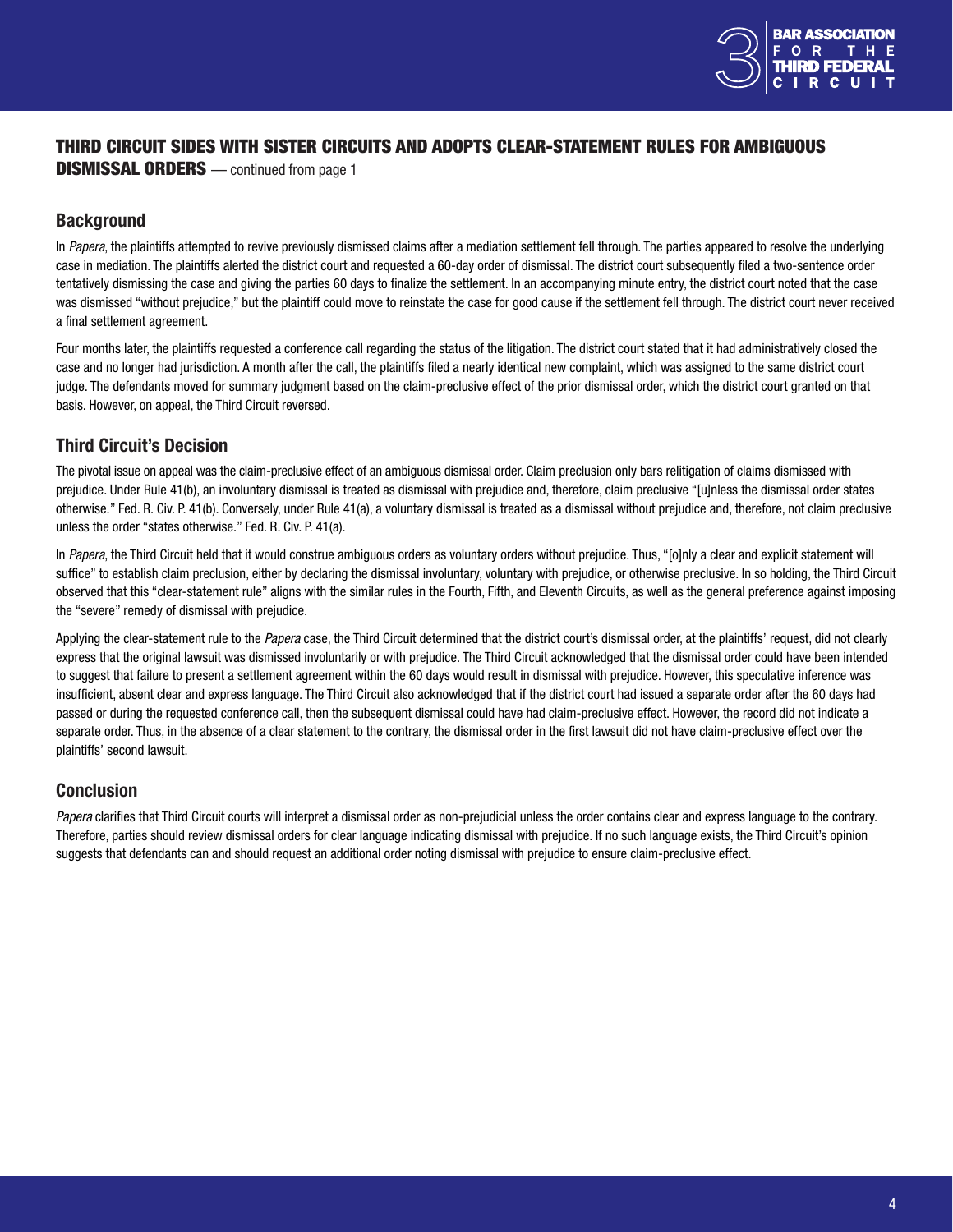

# <span id="page-3-0"></span>THIRD CIRCUIT SIDES WITH SISTER CIRCUITS AND ADOPTS CLEAR-STATEMENT RULES FOR AMBIGUOUS

**DISMISSAL ORDERS** — continued from page 1

#### **Background**

In *Papera*, the plaintiffs attempted to revive previously dismissed claims after a mediation settlement fell through. The parties appeared to resolve the underlying case in mediation. The plaintiffs alerted the district court and requested a 60-day order of dismissal. The district court subsequently filed a two-sentence order tentatively dismissing the case and giving the parties 60 days to finalize the settlement. In an accompanying minute entry, the district court noted that the case was dismissed "without prejudice," but the plaintiff could move to reinstate the case for good cause if the settlement fell through. The district court never received a final settlement agreement.

Four months later, the plaintiffs requested a conference call regarding the status of the litigation. The district court stated that it had administratively closed the case and no longer had jurisdiction. A month after the call, the plaintiffs filed a nearly identical new complaint, which was assigned to the same district court judge. The defendants moved for summary judgment based on the claim-preclusive effect of the prior dismissal order, which the district court granted on that basis. However, on appeal, the Third Circuit reversed.

# Third Circuit's Decision

The pivotal issue on appeal was the claim-preclusive effect of an ambiguous dismissal order. Claim preclusion only bars relitigation of claims dismissed with prejudice. Under Rule 41(b), an involuntary dismissal is treated as dismissal with prejudice and, therefore, claim preclusive "[u]nless the dismissal order states otherwise." Fed. R. Civ. P. 41(b). Conversely, under Rule 41(a), a voluntary dismissal is treated as a dismissal without prejudice and, therefore, not claim preclusive unless the order "states otherwise." Fed. R. Civ. P. 41(a).

In *Papera*, the Third Circuit held that it would construe ambiguous orders as voluntary orders without prejudice. Thus, "[o]nly a clear and explicit statement will suffice" to establish claim preclusion, either by declaring the dismissal involuntary, voluntary with prejudice, or otherwise preclusive. In so holding, the Third Circuit observed that this "clear-statement rule" aligns with the similar rules in the Fourth, Fifth, and Eleventh Circuits, as well as the general preference against imposing the "severe" remedy of dismissal with prejudice.

Applying the clear-statement rule to the *Papera* case, the Third Circuit determined that the district court's dismissal order, at the plaintiffs' request, did not clearly express that the original lawsuit was dismissed involuntarily or with prejudice. The Third Circuit acknowledged that the dismissal order could have been intended to suggest that failure to present a settlement agreement within the 60 days would result in dismissal with prejudice. However, this speculative inference was insufficient, absent clear and express language. The Third Circuit also acknowledged that if the district court had issued a separate order after the 60 days had passed or during the requested conference call, then the subsequent dismissal could have had claim-preclusive effect. However, the record did not indicate a separate order. Thus, in the absence of a clear statement to the contrary, the dismissal order in the first lawsuit did not have claim-preclusive effect over the plaintiffs' second lawsuit.

#### Conclusion

*Papera* clarifies that Third Circuit courts will interpret a dismissal order as non-prejudicial unless the order contains clear and express language to the contrary. Therefore, parties should review dismissal orders for clear language indicating dismissal with prejudice. If no such language exists, the Third Circuit's opinion suggests that defendants can and should request an additional order noting dismissal with prejudice to ensure claim-preclusive effect.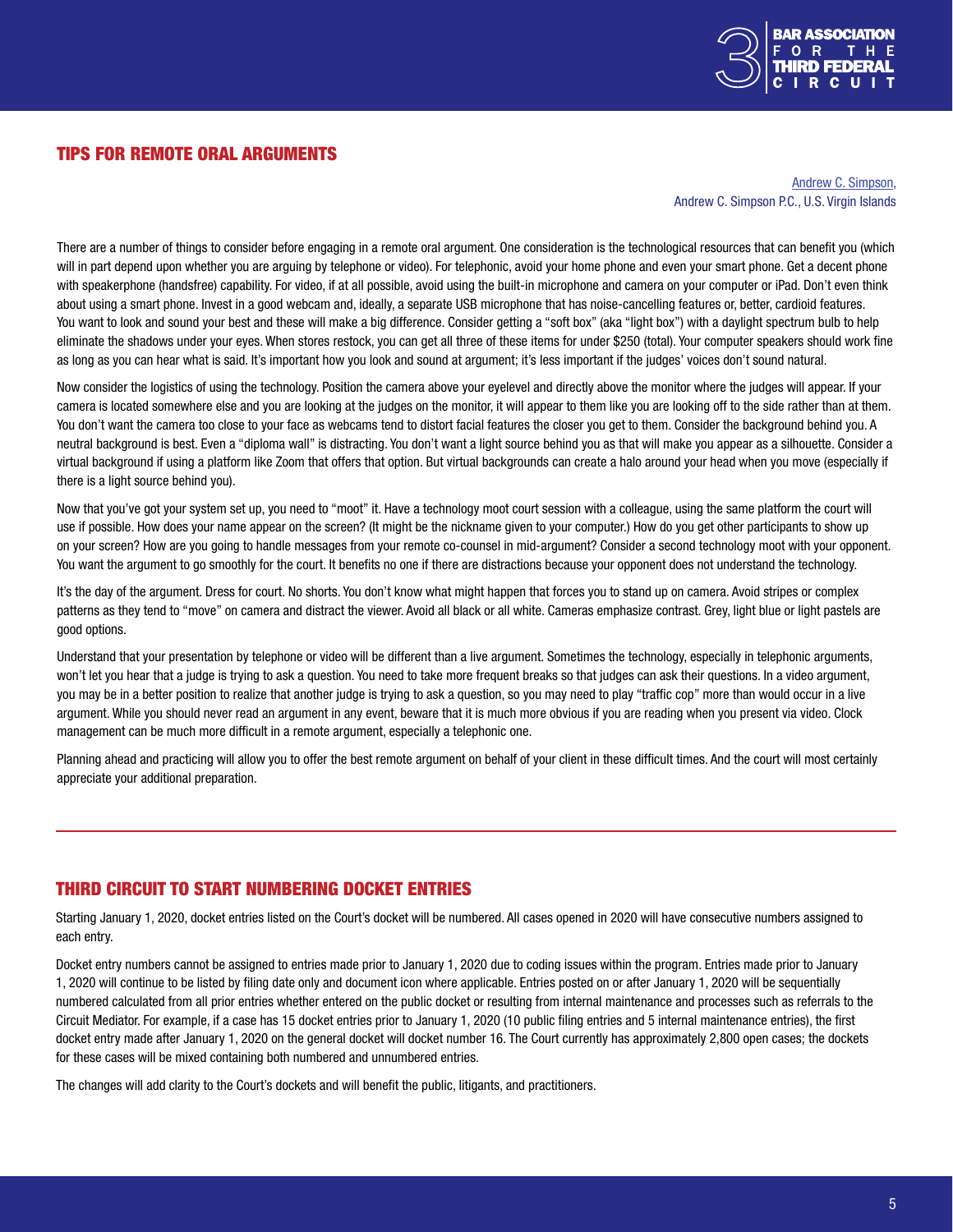

#### <span id="page-4-0"></span>TIPS FOR REMOTE ORAL ARGUMENTS

[Andrew C. Simpson](https://www.coralbrief.com/About/Andrew-C-Simpson.shtml), Andrew C. Simpson P.C., U.S. Virgin Islands

There are a number of things to consider before engaging in a remote oral argument. One consideration is the technological resources that can benefit you (which will in part depend upon whether you are arguing by telephone or video). For telephonic, avoid your home phone and even your smart phone. Get a decent phone with speakerphone (handsfree) capability. For video, if at all possible, avoid using the built-in microphone and camera on your computer or iPad. Don't even think about using a smart phone. Invest in a good webcam and, ideally, a separate USB microphone that has noise-cancelling features or, better, cardioid features. You want to look and sound your best and these will make a big difference. Consider getting a "soft box" (aka "light box") with a daylight spectrum bulb to help eliminate the shadows under your eyes. When stores restock, you can get all three of these items for under \$250 (total). Your computer speakers should work fine as long as you can hear what is said. It's important how you look and sound at argument; it's less important if the judges' voices don't sound natural.

Now consider the logistics of using the technology. Position the camera above your eyelevel and directly above the monitor where the judges will appear. If your camera is located somewhere else and you are looking at the judges on the monitor, it will appear to them like you are looking off to the side rather than at them. You don't want the camera too close to your face as webcams tend to distort facial features the closer you get to them. Consider the background behind you. A neutral background is best. Even a "diploma wall" is distracting. You don't want a light source behind you as that will make you appear as a silhouette. Consider a virtual background if using a platform like Zoom that offers that option. But virtual backgrounds can create a halo around your head when you move (especially if there is a light source behind you).

Now that you've got your system set up, you need to "moot" it. Have a technology moot court session with a colleague, using the same platform the court will use if possible. How does your name appear on the screen? (It might be the nickname given to your computer.) How do you get other participants to show up on your screen? How are you going to handle messages from your remote co-counsel in mid-argument? Consider a second technology moot with your opponent. You want the argument to go smoothly for the court. It benefits no one if there are distractions because your opponent does not understand the technology.

It's the day of the argument. Dress for court. No shorts. You don't know what might happen that forces you to stand up on camera. Avoid stripes or complex patterns as they tend to "move" on camera and distract the viewer. Avoid all black or all white. Cameras emphasize contrast. Grey, light blue or light pastels are good options.

Understand that your presentation by telephone or video will be different than a live argument. Sometimes the technology, especially in telephonic arguments, won't let you hear that a judge is trying to ask a question. You need to take more frequent breaks so that judges can ask their questions. In a video argument, you may be in a better position to realize that another judge is trying to ask a question, so you may need to play "traffic cop" more than would occur in a live argument. While you should never read an argument in any event, beware that it is much more obvious if you are reading when you present via video. Clock management can be much more difficult in a remote argument, especially a telephonic one.

Planning ahead and practicing will allow you to offer the best remote argument on behalf of your client in these difficult times. And the court will most certainly appreciate your additional preparation.

#### THIRD CIRCUIT TO START NUMBERING DOCKET ENTRIES

Starting January 1, 2020, docket entries listed on the Court's docket will be numbered. All cases opened in 2020 will have consecutive numbers assigned to each entry.

Docket entry numbers cannot be assigned to entries made prior to January 1, 2020 due to coding issues within the program. Entries made prior to January 1, 2020 will continue to be listed by filing date only and document icon where applicable. Entries posted on or after January 1, 2020 will be sequentially numbered calculated from all prior entries whether entered on the public docket or resulting from internal maintenance and processes such as referrals to the Circuit Mediator. For example, if a case has 15 docket entries prior to January 1, 2020 (10 public filing entries and 5 internal maintenance entries), the first docket entry made after January 1, 2020 on the general docket will docket number 16. The Court currently has approximately 2,800 open cases; the dockets for these cases will be mixed containing both numbered and unnumbered entries.

The changes will add clarity to the Court's dockets and will benefit the public, litigants, and practitioners.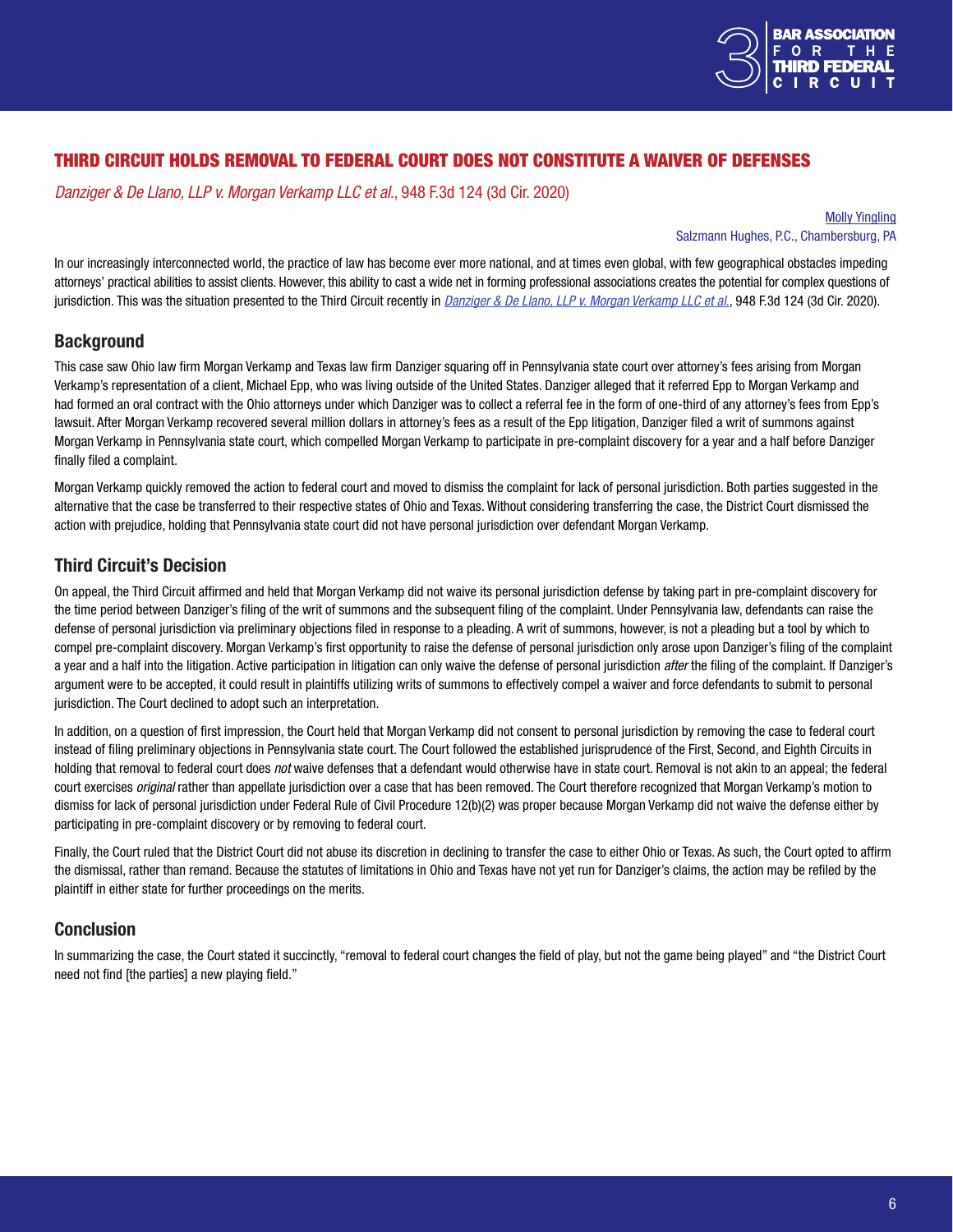

# <span id="page-5-0"></span>THIRD CIRCUIT HOLDS REMOVAL TO FEDERAL COURT DOES NOT CONSTITUTE A WAIVER OF DEFENSES

*Danziger & De Llano, LLP v. Morgan Verkamp LLC et al.*, 948 F.3d 124 (3d Cir. 2020)

[Molly Yingling](https://salzmannhughes.com/Our-People/Molly-Yingling) Salzmann Hughes, P.C., Chambersburg, PA

In our increasingly interconnected world, the practice of law has become ever more national, and at times even global, with few geographical obstacles impeding attorneys' practical abilities to assist clients. However, this ability to cast a wide net in forming professional associations creates the potential for complex questions of jurisdiction. This was the situation presented to the Third Circuit recently in *[Danziger & De Llano, LLP v. Morgan Verkamp LLC et al.](http://www2.ca3.uscourts.gov/opinarch/191986p.pdf)*, 948 F.3d 124 (3d Cir. 2020).

# **Background**

This case saw Ohio law firm Morgan Verkamp and Texas law firm Danziger squaring off in Pennsylvania state court over attorney's fees arising from Morgan Verkamp's representation of a client, Michael Epp, who was living outside of the United States. Danziger alleged that it referred Epp to Morgan Verkamp and had formed an oral contract with the Ohio attorneys under which Danziger was to collect a referral fee in the form of one-third of any attorney's fees from Epp's lawsuit. After Morgan Verkamp recovered several million dollars in attorney's fees as a result of the Epp litigation, Danziger filed a writ of summons against Morgan Verkamp in Pennsylvania state court, which compelled Morgan Verkamp to participate in pre-complaint discovery for a year and a half before Danziger finally filed a complaint.

Morgan Verkamp quickly removed the action to federal court and moved to dismiss the complaint for lack of personal jurisdiction. Both parties suggested in the alternative that the case be transferred to their respective states of Ohio and Texas. Without considering transferring the case, the District Court dismissed the action with prejudice, holding that Pennsylvania state court did not have personal jurisdiction over defendant Morgan Verkamp.

# Third Circuit's Decision

On appeal, the Third Circuit affirmed and held that Morgan Verkamp did not waive its personal jurisdiction defense by taking part in pre-complaint discovery for the time period between Danziger's filing of the writ of summons and the subsequent filing of the complaint. Under Pennsylvania law, defendants can raise the defense of personal jurisdiction via preliminary objections filed in response to a pleading. A writ of summons, however, is not a pleading but a tool by which to compel pre-complaint discovery. Morgan Verkamp's first opportunity to raise the defense of personal jurisdiction only arose upon Danziger's filing of the complaint a year and a half into the litigation. Active participation in litigation can only waive the defense of personal jurisdiction *after* the filing of the complaint. If Danziger's argument were to be accepted, it could result in plaintiffs utilizing writs of summons to effectively compel a waiver and force defendants to submit to personal jurisdiction. The Court declined to adopt such an interpretation.

In addition, on a question of first impression, the Court held that Morgan Verkamp did not consent to personal jurisdiction by removing the case to federal court instead of filing preliminary objections in Pennsylvania state court. The Court followed the established jurisprudence of the First, Second, and Eighth Circuits in holding that removal to federal court does *not* waive defenses that a defendant would otherwise have in state court. Removal is not akin to an appeal; the federal court exercises *original* rather than appellate jurisdiction over a case that has been removed. The Court therefore recognized that Morgan Verkamp's motion to dismiss for lack of personal jurisdiction under Federal Rule of Civil Procedure 12(b)(2) was proper because Morgan Verkamp did not waive the defense either by participating in pre-complaint discovery or by removing to federal court.

Finally, the Court ruled that the District Court did not abuse its discretion in declining to transfer the case to either Ohio or Texas. As such, the Court opted to affirm the dismissal, rather than remand. Because the statutes of limitations in Ohio and Texas have not yet run for Danziger's claims, the action may be refiled by the plaintiff in either state for further proceedings on the merits.

# Conclusion

In summarizing the case, the Court stated it succinctly, "removal to federal court changes the field of play, but not the game being played" and "the District Court need not find [the parties] a new playing field."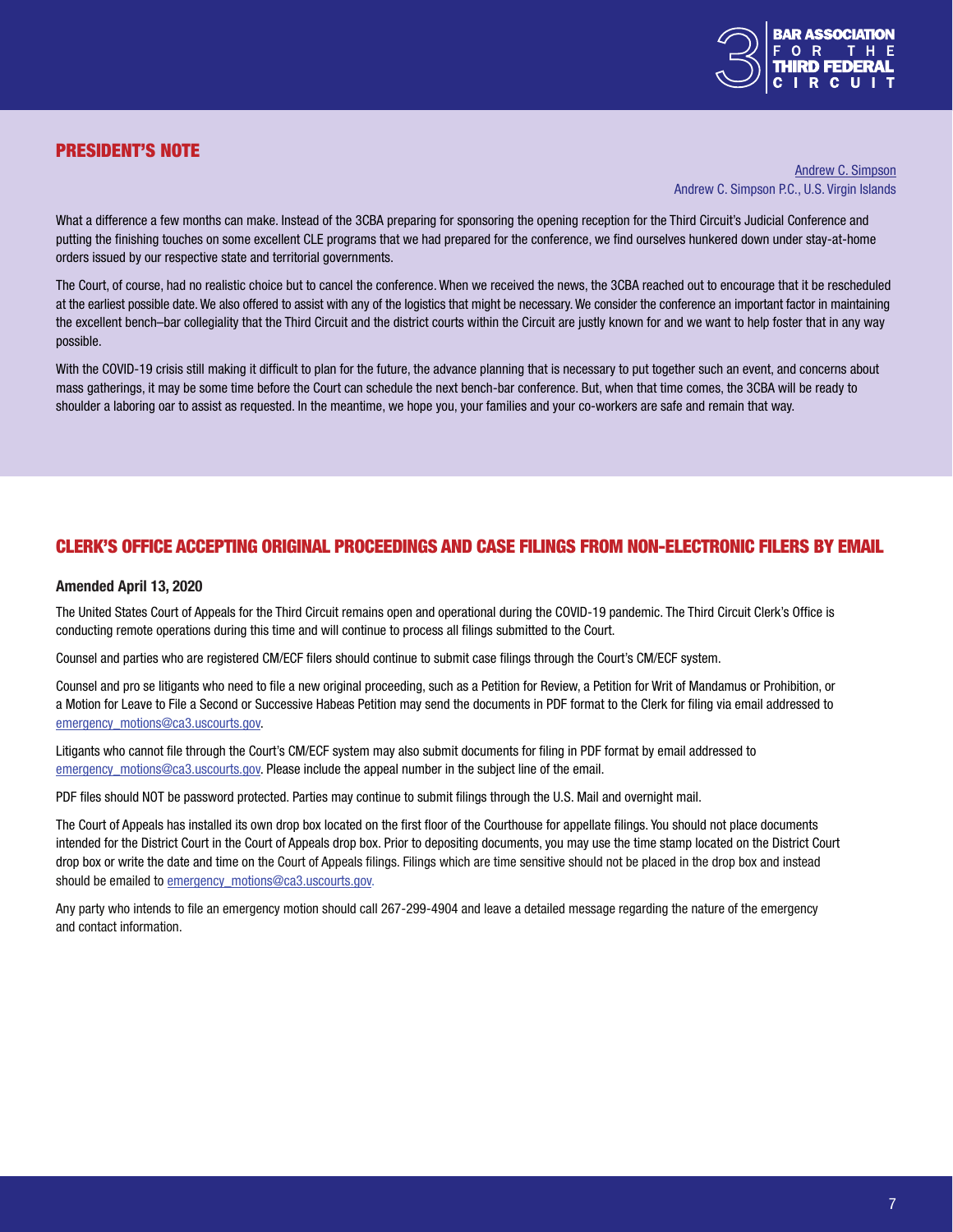

## <span id="page-6-0"></span>PRESIDENT'S NOTE

[Andrew C. Simpson](https://www.coralbrief.com/About/Andrew-C-Simpson.shtml) Andrew C. Simpson P.C., U.S. Virgin Islands

What a difference a few months can make. Instead of the 3CBA preparing for sponsoring the opening reception for the Third Circuit's Judicial Conference and putting the finishing touches on some excellent CLE programs that we had prepared for the conference, we find ourselves hunkered down under stay-at-home orders issued by our respective state and territorial governments.

The Court, of course, had no realistic choice but to cancel the conference. When we received the news, the 3CBA reached out to encourage that it be rescheduled at the earliest possible date. We also offered to assist with any of the logistics that might be necessary. We consider the conference an important factor in maintaining the excellent bench–bar collegiality that the Third Circuit and the district courts within the Circuit are justly known for and we want to help foster that in any way possible.

With the COVID-19 crisis still making it difficult to plan for the future, the advance planning that is necessary to put together such an event, and concerns about mass gatherings, it may be some time before the Court can schedule the next bench-bar conference. But, when that time comes, the 3CBA will be ready to shoulder a laboring oar to assist as requested. In the meantime, we hope you, your families and your co-workers are safe and remain that way.

#### CLERK'S OFFICE ACCEPTING ORIGINAL PROCEEDINGS AND CASE FILINGS FROM NON-ELECTRONIC FILERS BY EMAIL

#### Amended April 13, 2020

The United States Court of Appeals for the Third Circuit remains open and operational during the COVID-19 pandemic. The Third Circuit Clerk's Office is conducting remote operations during this time and will continue to process all filings submitted to the Court.

Counsel and parties who are registered CM/ECF filers should continue to submit case filings through the Court's CM/ECF system.

Counsel and pro se litigants who need to file a new original proceeding, such as a Petition for Review, a Petition for Writ of Mandamus or Prohibition, or a Motion for Leave to File a Second or Successive Habeas Petition may send the documents in PDF format to the Clerk for filing via email addressed to [emergency\\_motions@ca3.uscourts.gov](mailto:emergency_motions%40ca3.uscourts.gov?subject=).

Litigants who cannot file through the Court's CM/ECF system may also submit documents for filing in PDF format by email addressed to [emergency\\_motions@ca3.uscourts.gov](mailto:mailto:emergency_motions%40ca3.uscourts.gov?subject=). Please include the appeal number in the subject line of the email.

PDF files should NOT be password protected. Parties may continue to submit filings through the U.S. Mail and overnight mail.

The Court of Appeals has installed its own drop box located on the first floor of the Courthouse for appellate filings. You should not place documents intended for the District Court in the Court of Appeals drop box. Prior to depositing documents, you may use the time stamp located on the District Court drop box or write the date and time on the Court of Appeals filings. Filings which are time sensitive should not be placed in the drop box and instead should be emailed to [emergency\\_motions@ca3.uscourts.gov.](mailto:mailto:emergency_motions%40ca3.uscourts.gov?subject=)

Any party who intends to file an emergency motion should call 267-299-4904 and leave a detailed message regarding the nature of the emergency and contact information.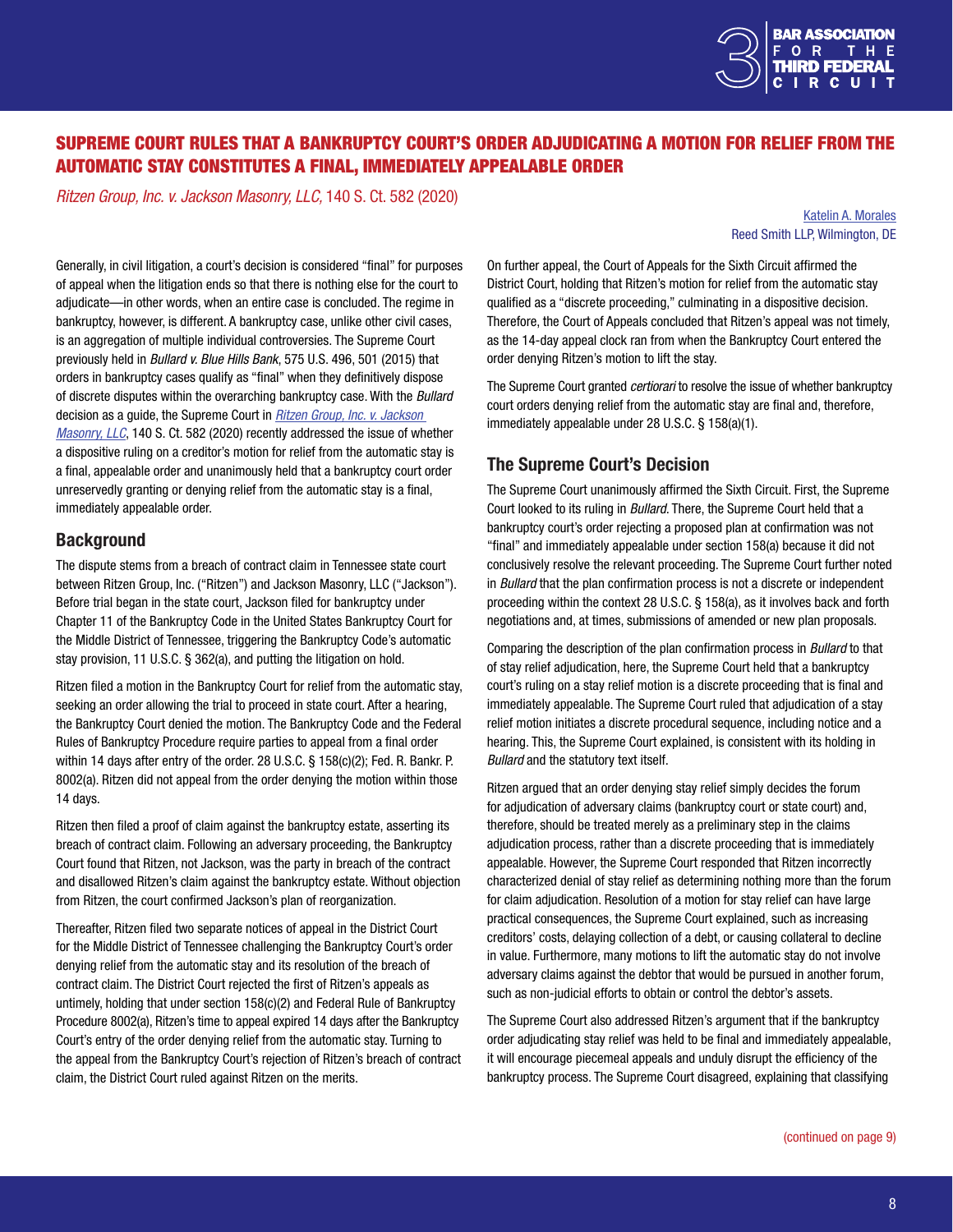

# <span id="page-7-0"></span>SUPREME COURT RULES THAT A BANKRUPTCY COURT'S ORDER ADJUDICATING A MOTION FOR RELIEF FROM THE AUTOMATIC STAY CONSTITUTES A FINAL, IMMEDIATELY APPEALABLE ORDER

*Ritzen Group, Inc. v. Jackson Masonry, LLC,* 140 S. Ct. 582 (2020)

[Katelin A. Morales](https://www.reedsmith.com/en/professionals/m/morales-katelin-a) Reed Smith LLP, Wilmington, DE

Generally, in civil litigation, a court's decision is considered "final" for purposes of appeal when the litigation ends so that there is nothing else for the court to adjudicate—in other words, when an entire case is concluded. The regime in bankruptcy, however, is different. A bankruptcy case, unlike other civil cases, is an aggregation of multiple individual controversies. The Supreme Court previously held in *Bullard v. Blue Hills Bank*, 575 U.S. 496, 501 (2015) that orders in bankruptcy cases qualify as "final" when they definitively dispose of discrete disputes within the overarching bankruptcy case. With the *Bullard* decision as a guide, the Supreme Court in *[Ritzen Group, Inc. v. Jackson](https://www.supremecourt.gov/opinions/19pdf/18-938_l6gn.pdf)  [Masonry, LLC](https://www.supremecourt.gov/opinions/19pdf/18-938_l6gn.pdf)*, 140 S. Ct. 582 (2020) recently addressed the issue of whether a dispositive ruling on a creditor's motion for relief from the automatic stay is a final, appealable order and unanimously held that a bankruptcy court order unreservedly granting or denying relief from the automatic stay is a final, immediately appealable order.

#### **Background**

The dispute stems from a breach of contract claim in Tennessee state court between Ritzen Group, Inc. ("Ritzen") and Jackson Masonry, LLC ("Jackson"). Before trial began in the state court, Jackson filed for bankruptcy under Chapter 11 of the Bankruptcy Code in the United States Bankruptcy Court for the Middle District of Tennessee, triggering the Bankruptcy Code's automatic stay provision, 11 U.S.C. § 362(a), and putting the litigation on hold.

Ritzen filed a motion in the Bankruptcy Court for relief from the automatic stay, seeking an order allowing the trial to proceed in state court. After a hearing, the Bankruptcy Court denied the motion. The Bankruptcy Code and the Federal Rules of Bankruptcy Procedure require parties to appeal from a final order within 14 days after entry of the order. 28 U.S.C. § 158(c)(2); Fed. R. Bankr. P. 8002(a). Ritzen did not appeal from the order denying the motion within those 14 days.

Ritzen then filed a proof of claim against the bankruptcy estate, asserting its breach of contract claim. Following an adversary proceeding, the Bankruptcy Court found that Ritzen, not Jackson, was the party in breach of the contract and disallowed Ritzen's claim against the bankruptcy estate. Without objection from Ritzen, the court confirmed Jackson's plan of reorganization.

Thereafter, Ritzen filed two separate notices of appeal in the District Court for the Middle District of Tennessee challenging the Bankruptcy Court's order denying relief from the automatic stay and its resolution of the breach of contract claim. The District Court rejected the first of Ritzen's appeals as untimely, holding that under section 158(c)(2) and Federal Rule of Bankruptcy Procedure 8002(a), Ritzen's time to appeal expired 14 days after the Bankruptcy Court's entry of the order denying relief from the automatic stay. Turning to the appeal from the Bankruptcy Court's rejection of Ritzen's breach of contract claim, the District Court ruled against Ritzen on the merits.

On further appeal, the Court of Appeals for the Sixth Circuit affirmed the District Court, holding that Ritzen's motion for relief from the automatic stay qualified as a "discrete proceeding," culminating in a dispositive decision. Therefore, the Court of Appeals concluded that Ritzen's appeal was not timely, as the 14-day appeal clock ran from when the Bankruptcy Court entered the order denying Ritzen's motion to lift the stay.

The Supreme Court granted *certiorari* to resolve the issue of whether bankruptcy court orders denying relief from the automatic stay are final and, therefore, immediately appealable under 28 U.S.C. § 158(a)(1).

#### The Supreme Court's Decision

The Supreme Court unanimously affirmed the Sixth Circuit. First, the Supreme Court looked to its ruling in *Bullard*. There, the Supreme Court held that a bankruptcy court's order rejecting a proposed plan at confirmation was not "final" and immediately appealable under section 158(a) because it did not conclusively resolve the relevant proceeding. The Supreme Court further noted in *Bullard* that the plan confirmation process is not a discrete or independent proceeding within the context 28 U.S.C. § 158(a), as it involves back and forth negotiations and, at times, submissions of amended or new plan proposals.

Comparing the description of the plan confirmation process in *Bullard* to that of stay relief adjudication, here, the Supreme Court held that a bankruptcy court's ruling on a stay relief motion is a discrete proceeding that is final and immediately appealable. The Supreme Court ruled that adjudication of a stay relief motion initiates a discrete procedural sequence, including notice and a hearing. This, the Supreme Court explained, is consistent with its holding in *Bullard* and the statutory text itself.

Ritzen argued that an order denying stay relief simply decides the forum for adjudication of adversary claims (bankruptcy court or state court) and, therefore, should be treated merely as a preliminary step in the claims adjudication process, rather than a discrete proceeding that is immediately appealable. However, the Supreme Court responded that Ritzen incorrectly characterized denial of stay relief as determining nothing more than the forum for claim adjudication. Resolution of a motion for stay relief can have large practical consequences, the Supreme Court explained, such as increasing creditors' costs, delaying collection of a debt, or causing collateral to decline in value. Furthermore, many motions to lift the automatic stay do not involve adversary claims against the debtor that would be pursued in another forum, such as non-judicial efforts to obtain or control the debtor's assets.

The Supreme Court also addressed Ritzen's argument that if the bankruptcy order adjudicating stay relief was held to be final and immediately appealable, it will encourage piecemeal appeals and unduly disrupt the efficiency of the bankruptcy process. The Supreme Court disagreed, explaining that classifying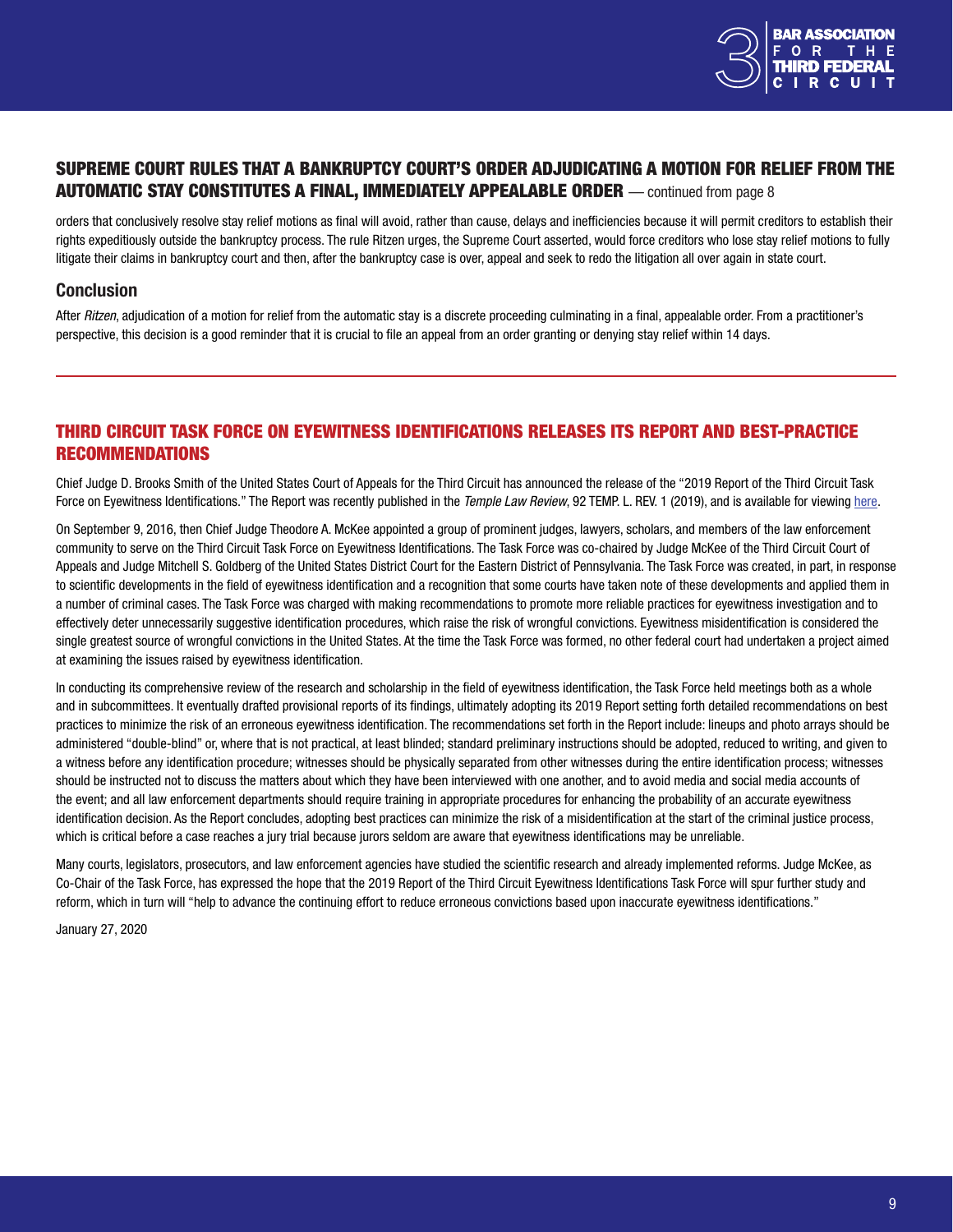

#### <span id="page-8-0"></span>SUPREME COURT RULES THAT A BANKRUPTCY COURT'S ORDER ADJUDICATING A MOTION FOR RELIEF FROM THE AUTOMATIC STAY CONSTITUTES A FINAL, IMMEDIATELY APPEALABLE ORDER — continued from page 8

orders that conclusively resolve stay relief motions as final will avoid, rather than cause, delays and inefficiencies because it will permit creditors to establish their rights expeditiously outside the bankruptcy process. The rule Ritzen urges, the Supreme Court asserted, would force creditors who lose stay relief motions to fully litigate their claims in bankruptcy court and then, after the bankruptcy case is over, appeal and seek to redo the litigation all over again in state court.

#### **Conclusion**

After *Ritzen*, adjudication of a motion for relief from the automatic stay is a discrete proceeding culminating in a final, appealable order. From a practitioner's perspective, this decision is a good reminder that it is crucial to file an appeal from an order granting or denying stay relief within 14 days.

## THIRD CIRCUIT TASK FORCE ON EYEWITNESS IDENTIFICATIONS RELEASES ITS REPORT AND BEST-PRACTICE RECOMMENDATIONS

Chief Judge D. Brooks Smith of the United States Court of Appeals for the Third Circuit has announced the release of the "2019 Report of the Third Circuit Task Force on Eyewitness Identifications." The Report was recently published in the *Temple Law Review*, 92 TEMP. L. REV. 1 (2019), and is available for viewing [here.](https://www.templelawreview.org/lawreview/assets/uploads/2020/01/Third-Circuit-Task-Force_92-Temp.-L.-Rev.-1.pdf)

On September 9, 2016, then Chief Judge Theodore A. McKee appointed a group of prominent judges, lawyers, scholars, and members of the law enforcement community to serve on the Third Circuit Task Force on Eyewitness Identifications. The Task Force was co-chaired by Judge McKee of the Third Circuit Court of Appeals and Judge Mitchell S. Goldberg of the United States District Court for the Eastern District of Pennsylvania. The Task Force was created, in part, in response to scientific developments in the field of eyewitness identification and a recognition that some courts have taken note of these developments and applied them in a number of criminal cases. The Task Force was charged with making recommendations to promote more reliable practices for eyewitness investigation and to effectively deter unnecessarily suggestive identification procedures, which raise the risk of wrongful convictions. Eyewitness misidentification is considered the single greatest source of wrongful convictions in the United States. At the time the Task Force was formed, no other federal court had undertaken a project aimed at examining the issues raised by eyewitness identification.

In conducting its comprehensive review of the research and scholarship in the field of eyewitness identification, the Task Force held meetings both as a whole and in subcommittees. It eventually drafted provisional reports of its findings, ultimately adopting its 2019 Report setting forth detailed recommendations on best practices to minimize the risk of an erroneous eyewitness identification. The recommendations set forth in the Report include: lineups and photo arrays should be administered "double-blind" or, where that is not practical, at least blinded; standard preliminary instructions should be adopted, reduced to writing, and given to a witness before any identification procedure; witnesses should be physically separated from other witnesses during the entire identification process; witnesses should be instructed not to discuss the matters about which they have been interviewed with one another, and to avoid media and social media accounts of the event; and all law enforcement departments should require training in appropriate procedures for enhancing the probability of an accurate eyewitness identification decision. As the Report concludes, adopting best practices can minimize the risk of a misidentification at the start of the criminal justice process, which is critical before a case reaches a jury trial because jurors seldom are aware that eyewitness identifications may be unreliable.

Many courts, legislators, prosecutors, and law enforcement agencies have studied the scientific research and already implemented reforms. Judge McKee, as Co-Chair of the Task Force, has expressed the hope that the 2019 Report of the Third Circuit Eyewitness Identifications Task Force will spur further study and reform, which in turn will "help to advance the continuing effort to reduce erroneous convictions based upon inaccurate eyewitness identifications."

January 27, 2020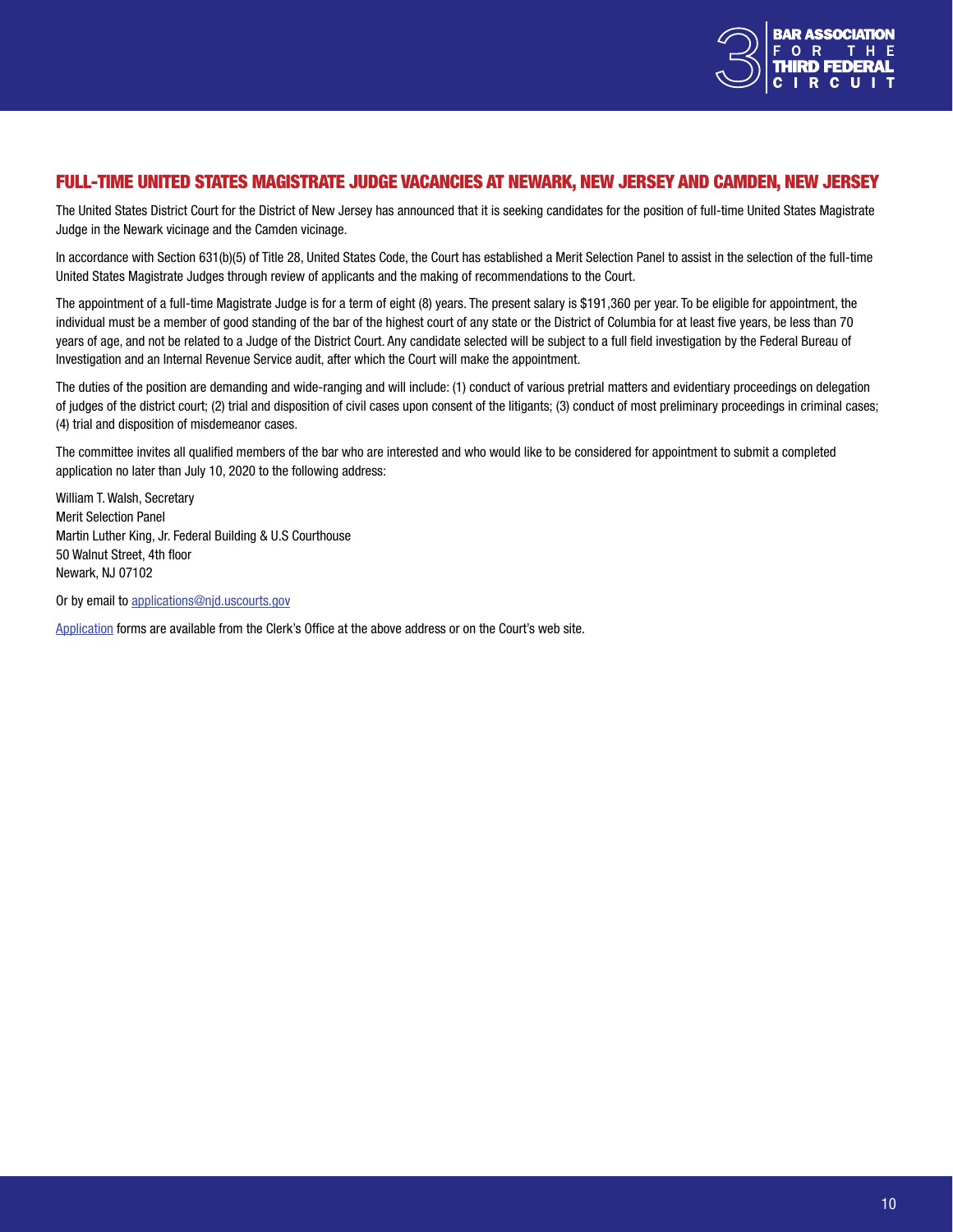

#### <span id="page-9-0"></span>FULL-TIME UNITED STATES MAGISTRATE JUDGE VACANCIES AT NEWARK, NEW JERSEY AND CAMDEN, NEW JERSEY

The United States District Court for the District of New Jersey has announced that it is seeking candidates for the position of full-time United States Magistrate Judge in the Newark vicinage and the Camden vicinage.

In accordance with Section 631(b)(5) of Title 28, United States Code, the Court has established a Merit Selection Panel to assist in the selection of the full-time United States Magistrate Judges through review of applicants and the making of recommendations to the Court.

The appointment of a full-time Magistrate Judge is for a term of eight (8) years. The present salary is \$191,360 per year. To be eligible for appointment, the individual must be a member of good standing of the bar of the highest court of any state or the District of Columbia for at least five years, be less than 70 years of age, and not be related to a Judge of the District Court. Any candidate selected will be subject to a full field investigation by the Federal Bureau of Investigation and an Internal Revenue Service audit, after which the Court will make the appointment.

The duties of the position are demanding and wide-ranging and will include: (1) conduct of various pretrial matters and evidentiary proceedings on delegation of judges of the district court; (2) trial and disposition of civil cases upon consent of the litigants; (3) conduct of most preliminary proceedings in criminal cases; (4) trial and disposition of misdemeanor cases.

The committee invites all qualified members of the bar who are interested and who would like to be considered for appointment to submit a completed application no later than July 10, 2020 to the following address:

William T. Walsh, Secretary Merit Selection Panel Martin Luther King, Jr. Federal Building & U.S Courthouse 50 Walnut Street, 4th floor Newark, NJ 07102

Or by email to [applications@njd.uscourts.gov](mailto:applications%40njd.uscourts.gov?subject=)

[Application](https://www.njd.uscourts.gov/sites/njd/files/mag-appl2018.pdf) forms are available from the Clerk's Office at the above address or on the Court's web site.